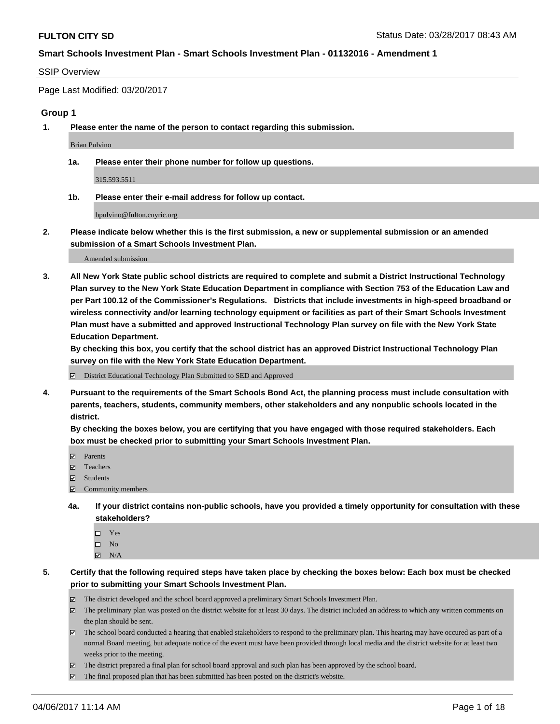#### SSIP Overview

Page Last Modified: 03/20/2017

#### **Group 1**

**1. Please enter the name of the person to contact regarding this submission.**

Brian Pulvino

**1a. Please enter their phone number for follow up questions.**

315.593.5511

**1b. Please enter their e-mail address for follow up contact.**

bpulvino@fulton.cnyric.org

**2. Please indicate below whether this is the first submission, a new or supplemental submission or an amended submission of a Smart Schools Investment Plan.**

Amended submission

**3. All New York State public school districts are required to complete and submit a District Instructional Technology Plan survey to the New York State Education Department in compliance with Section 753 of the Education Law and per Part 100.12 of the Commissioner's Regulations. Districts that include investments in high-speed broadband or wireless connectivity and/or learning technology equipment or facilities as part of their Smart Schools Investment Plan must have a submitted and approved Instructional Technology Plan survey on file with the New York State Education Department.** 

**By checking this box, you certify that the school district has an approved District Instructional Technology Plan survey on file with the New York State Education Department.**

District Educational Technology Plan Submitted to SED and Approved

**4. Pursuant to the requirements of the Smart Schools Bond Act, the planning process must include consultation with parents, teachers, students, community members, other stakeholders and any nonpublic schools located in the district.** 

**By checking the boxes below, you are certifying that you have engaged with those required stakeholders. Each box must be checked prior to submitting your Smart Schools Investment Plan.**

- **マ** Parents
- **□** Teachers
- Students
- $\Xi$  Community members
- **4a. If your district contains non-public schools, have you provided a timely opportunity for consultation with these stakeholders?**
	- Yes
	- $\hfill \square$  No
	- $\boxtimes$  N/A
- **5. Certify that the following required steps have taken place by checking the boxes below: Each box must be checked prior to submitting your Smart Schools Investment Plan.**
	- The district developed and the school board approved a preliminary Smart Schools Investment Plan.
	- $\boxtimes$  The preliminary plan was posted on the district website for at least 30 days. The district included an address to which any written comments on the plan should be sent.
	- $\boxtimes$  The school board conducted a hearing that enabled stakeholders to respond to the preliminary plan. This hearing may have occured as part of a normal Board meeting, but adequate notice of the event must have been provided through local media and the district website for at least two weeks prior to the meeting.
	- The district prepared a final plan for school board approval and such plan has been approved by the school board.
	- The final proposed plan that has been submitted has been posted on the district's website.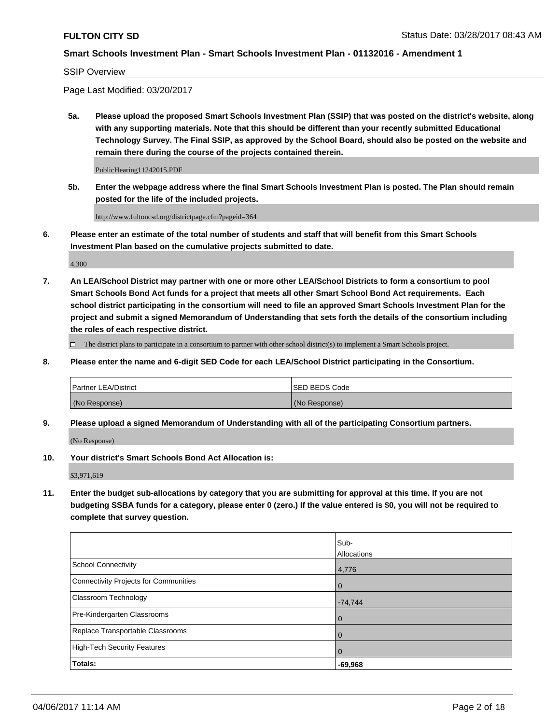SSIP Overview

Page Last Modified: 03/20/2017

**5a. Please upload the proposed Smart Schools Investment Plan (SSIP) that was posted on the district's website, along with any supporting materials. Note that this should be different than your recently submitted Educational Technology Survey. The Final SSIP, as approved by the School Board, should also be posted on the website and remain there during the course of the projects contained therein.**

PublicHearing11242015.PDF

**5b. Enter the webpage address where the final Smart Schools Investment Plan is posted. The Plan should remain posted for the life of the included projects.**

http://www.fultoncsd.org/districtpage.cfm?pageid=364

**6. Please enter an estimate of the total number of students and staff that will benefit from this Smart Schools Investment Plan based on the cumulative projects submitted to date.**

4,300

**7. An LEA/School District may partner with one or more other LEA/School Districts to form a consortium to pool Smart Schools Bond Act funds for a project that meets all other Smart School Bond Act requirements. Each school district participating in the consortium will need to file an approved Smart Schools Investment Plan for the project and submit a signed Memorandum of Understanding that sets forth the details of the consortium including the roles of each respective district.**

 $\Box$  The district plans to participate in a consortium to partner with other school district(s) to implement a Smart Schools project.

**8. Please enter the name and 6-digit SED Code for each LEA/School District participating in the Consortium.**

| <b>Partner LEA/District</b> | <b>ISED BEDS Code</b> |
|-----------------------------|-----------------------|
| (No Response)               | (No Response)         |

**9. Please upload a signed Memorandum of Understanding with all of the participating Consortium partners.**

(No Response)

**10. Your district's Smart Schools Bond Act Allocation is:**

\$3,971,619

**11. Enter the budget sub-allocations by category that you are submitting for approval at this time. If you are not budgeting SSBA funds for a category, please enter 0 (zero.) If the value entered is \$0, you will not be required to complete that survey question.**

|                                              | Sub-<br>Allocations |
|----------------------------------------------|---------------------|
| <b>School Connectivity</b>                   | 4,776               |
| <b>Connectivity Projects for Communities</b> | $\overline{0}$      |
| Classroom Technology                         | $-74,744$           |
| Pre-Kindergarten Classrooms                  | $\overline{0}$      |
| Replace Transportable Classrooms             | $\mathbf 0$         |
| <b>High-Tech Security Features</b>           | 0                   |
| Totals:                                      | $-69,968$           |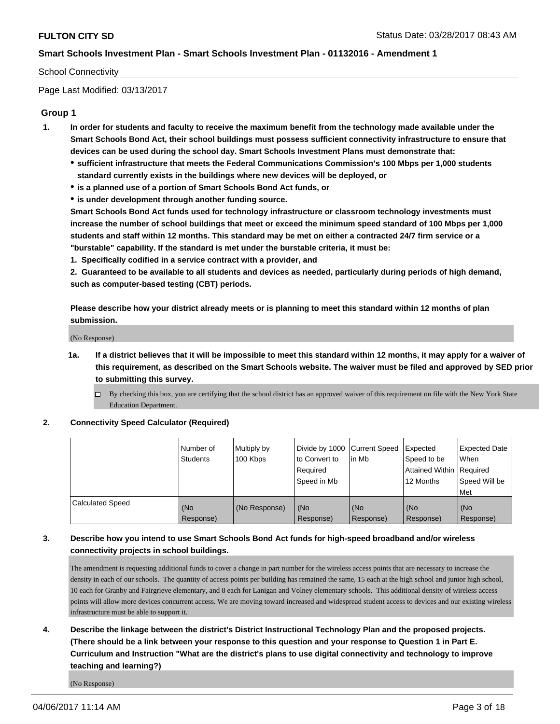### School Connectivity

Page Last Modified: 03/13/2017

## **Group 1**

- **1. In order for students and faculty to receive the maximum benefit from the technology made available under the Smart Schools Bond Act, their school buildings must possess sufficient connectivity infrastructure to ensure that devices can be used during the school day. Smart Schools Investment Plans must demonstrate that:**
	- **sufficient infrastructure that meets the Federal Communications Commission's 100 Mbps per 1,000 students standard currently exists in the buildings where new devices will be deployed, or**
	- **is a planned use of a portion of Smart Schools Bond Act funds, or**
	- **is under development through another funding source.**

**Smart Schools Bond Act funds used for technology infrastructure or classroom technology investments must increase the number of school buildings that meet or exceed the minimum speed standard of 100 Mbps per 1,000 students and staff within 12 months. This standard may be met on either a contracted 24/7 firm service or a "burstable" capability. If the standard is met under the burstable criteria, it must be:**

**1. Specifically codified in a service contract with a provider, and**

**2. Guaranteed to be available to all students and devices as needed, particularly during periods of high demand, such as computer-based testing (CBT) periods.**

**Please describe how your district already meets or is planning to meet this standard within 12 months of plan submission.**

(No Response)

- **1a. If a district believes that it will be impossible to meet this standard within 12 months, it may apply for a waiver of this requirement, as described on the Smart Schools website. The waiver must be filed and approved by SED prior to submitting this survey.**
	- By checking this box, you are certifying that the school district has an approved waiver of this requirement on file with the New York State Education Department.

#### **2. Connectivity Speed Calculator (Required)**

|                  | Number of<br>Students | Multiply by<br>100 Kbps | Divide by 1000 Current Speed<br>to Convert to<br>Reauired<br>Speed in Mb | in Mb            | Expected<br>Speed to be<br>Attained Within   Required<br>12 Months | <b>Expected Date</b><br>When<br>Speed Will be<br>Met |
|------------------|-----------------------|-------------------------|--------------------------------------------------------------------------|------------------|--------------------------------------------------------------------|------------------------------------------------------|
| Calculated Speed | (No<br>Response)      | (No Response)           | (No<br>Response)                                                         | (No<br>Response) | (No<br>Response)                                                   | (No<br>Response)                                     |

## **3. Describe how you intend to use Smart Schools Bond Act funds for high-speed broadband and/or wireless connectivity projects in school buildings.**

The amendment is requesting additional funds to cover a change in part number for the wireless access points that are necessary to increase the density in each of our schools. The quantity of access points per building has remained the same, 15 each at the high school and junior high school, 10 each for Granby and Fairgrieve elementary, and 8 each for Lanigan and Volney elementary schools. This additional density of wireless access points will allow more devices concurrent access. We are moving toward increased and widespread student access to devices and our existing wireless infrastructure must be able to support it.

**4. Describe the linkage between the district's District Instructional Technology Plan and the proposed projects. (There should be a link between your response to this question and your response to Question 1 in Part E. Curriculum and Instruction "What are the district's plans to use digital connectivity and technology to improve teaching and learning?)**

(No Response)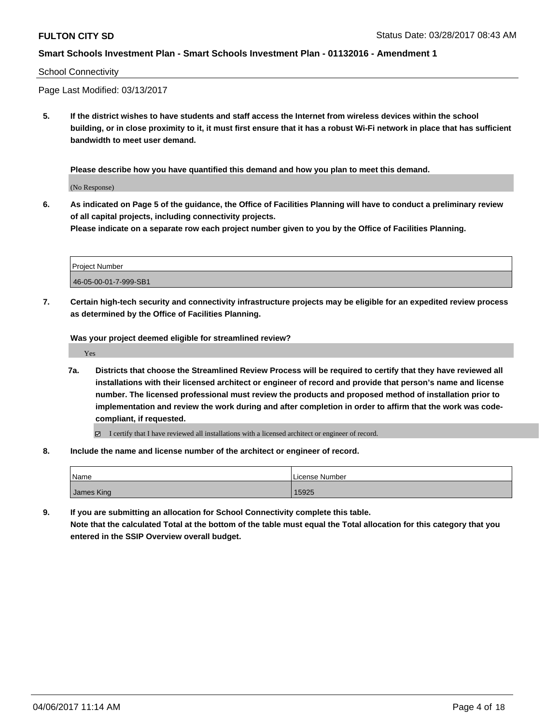#### School Connectivity

Page Last Modified: 03/13/2017

**5. If the district wishes to have students and staff access the Internet from wireless devices within the school building, or in close proximity to it, it must first ensure that it has a robust Wi-Fi network in place that has sufficient bandwidth to meet user demand.**

**Please describe how you have quantified this demand and how you plan to meet this demand.**

(No Response)

**6. As indicated on Page 5 of the guidance, the Office of Facilities Planning will have to conduct a preliminary review of all capital projects, including connectivity projects.**

**Please indicate on a separate row each project number given to you by the Office of Facilities Planning.**

| Project Number        |  |
|-----------------------|--|
| 46-05-00-01-7-999-SB1 |  |

**7. Certain high-tech security and connectivity infrastructure projects may be eligible for an expedited review process as determined by the Office of Facilities Planning.**

**Was your project deemed eligible for streamlined review?**

Yes

- **7a. Districts that choose the Streamlined Review Process will be required to certify that they have reviewed all installations with their licensed architect or engineer of record and provide that person's name and license number. The licensed professional must review the products and proposed method of installation prior to implementation and review the work during and after completion in order to affirm that the work was codecompliant, if requested.**
	- I certify that I have reviewed all installations with a licensed architect or engineer of record.
- **8. Include the name and license number of the architect or engineer of record.**

| Name       | .<br>l License Number |
|------------|-----------------------|
| James King | 15925                 |

**9. If you are submitting an allocation for School Connectivity complete this table.**

**Note that the calculated Total at the bottom of the table must equal the Total allocation for this category that you entered in the SSIP Overview overall budget.**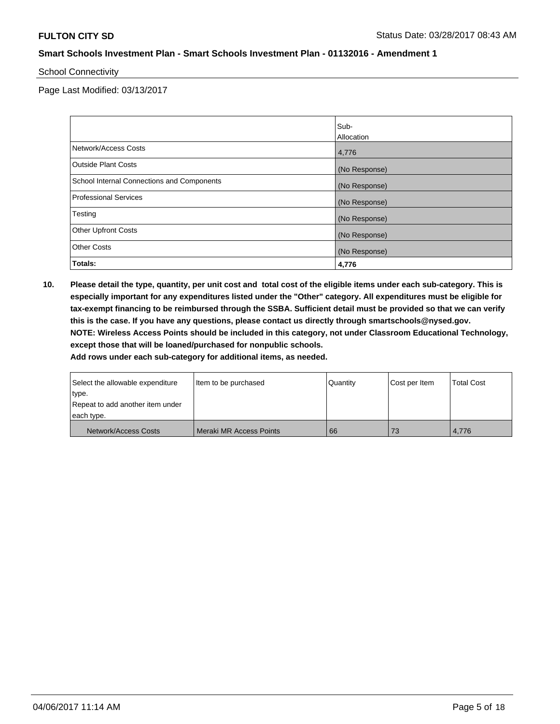#### School Connectivity

Page Last Modified: 03/13/2017

|                                            | Sub-          |
|--------------------------------------------|---------------|
|                                            | Allocation    |
| Network/Access Costs                       | 4,776         |
| <b>Outside Plant Costs</b>                 | (No Response) |
| School Internal Connections and Components | (No Response) |
| <b>Professional Services</b>               | (No Response) |
| Testing                                    | (No Response) |
| <b>Other Upfront Costs</b>                 | (No Response) |
| <b>Other Costs</b>                         | (No Response) |
| Totals:                                    | 4,776         |

**10. Please detail the type, quantity, per unit cost and total cost of the eligible items under each sub-category. This is especially important for any expenditures listed under the "Other" category. All expenditures must be eligible for tax-exempt financing to be reimbursed through the SSBA. Sufficient detail must be provided so that we can verify this is the case. If you have any questions, please contact us directly through smartschools@nysed.gov. NOTE: Wireless Access Points should be included in this category, not under Classroom Educational Technology, except those that will be loaned/purchased for nonpublic schools.**

| Select the allowable expenditure | I tem to be purchased   | Quantity | Cost per Item | <b>Total Cost</b> |
|----------------------------------|-------------------------|----------|---------------|-------------------|
| type.                            |                         |          |               |                   |
| Repeat to add another item under |                         |          |               |                   |
| each type.                       |                         |          |               |                   |
| Network/Access Costs             | Meraki MR Access Points | 66       | 73            | 4.776             |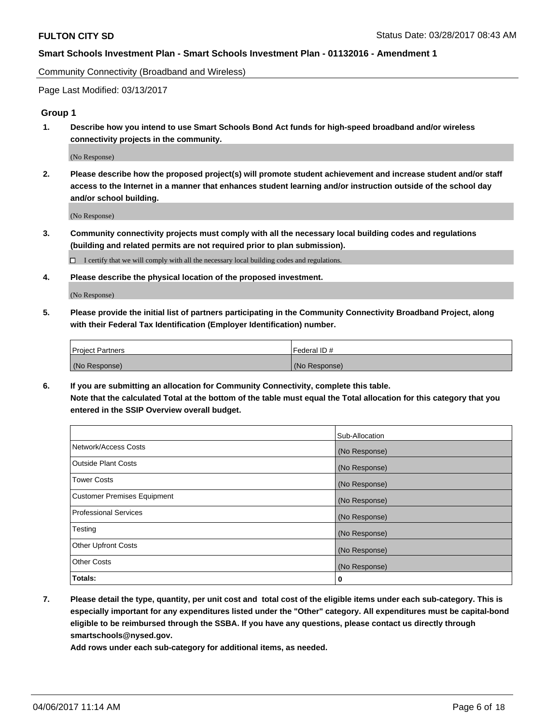Community Connectivity (Broadband and Wireless)

Page Last Modified: 03/13/2017

## **Group 1**

**1. Describe how you intend to use Smart Schools Bond Act funds for high-speed broadband and/or wireless connectivity projects in the community.**

(No Response)

**2. Please describe how the proposed project(s) will promote student achievement and increase student and/or staff access to the Internet in a manner that enhances student learning and/or instruction outside of the school day and/or school building.**

(No Response)

**3. Community connectivity projects must comply with all the necessary local building codes and regulations (building and related permits are not required prior to plan submission).**

 $\Box$  I certify that we will comply with all the necessary local building codes and regulations.

**4. Please describe the physical location of the proposed investment.**

(No Response)

**5. Please provide the initial list of partners participating in the Community Connectivity Broadband Project, along with their Federal Tax Identification (Employer Identification) number.**

| <b>Project Partners</b> | l Federal ID # |
|-------------------------|----------------|
| (No Response)           | (No Response)  |

**6. If you are submitting an allocation for Community Connectivity, complete this table. Note that the calculated Total at the bottom of the table must equal the Total allocation for this category that you entered in the SSIP Overview overall budget.**

|                                    | Sub-Allocation |
|------------------------------------|----------------|
| Network/Access Costs               | (No Response)  |
| Outside Plant Costs                | (No Response)  |
| <b>Tower Costs</b>                 | (No Response)  |
| <b>Customer Premises Equipment</b> | (No Response)  |
| <b>Professional Services</b>       | (No Response)  |
| Testing                            | (No Response)  |
| <b>Other Upfront Costs</b>         | (No Response)  |
| <b>Other Costs</b>                 | (No Response)  |
| Totals:                            | 0              |

**7. Please detail the type, quantity, per unit cost and total cost of the eligible items under each sub-category. This is especially important for any expenditures listed under the "Other" category. All expenditures must be capital-bond eligible to be reimbursed through the SSBA. If you have any questions, please contact us directly through smartschools@nysed.gov.**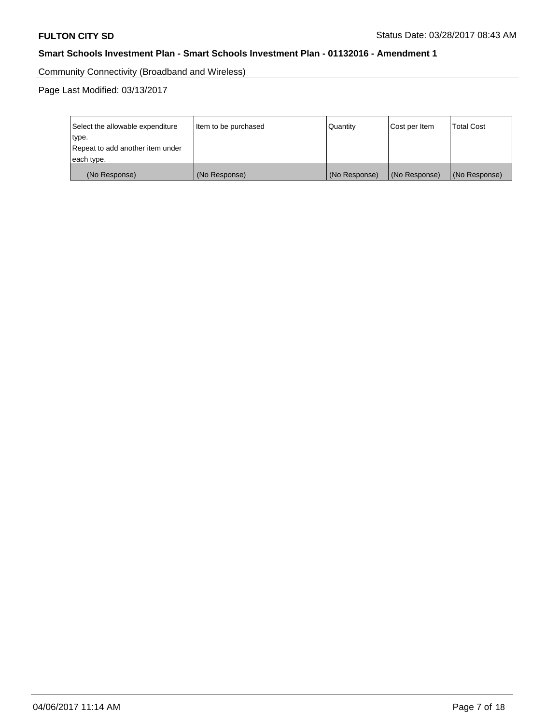Community Connectivity (Broadband and Wireless)

| Select the allowable expenditure<br>type.<br>Repeat to add another item under | Item to be purchased | Quantity      | Cost per Item | <b>Total Cost</b> |
|-------------------------------------------------------------------------------|----------------------|---------------|---------------|-------------------|
| each type.                                                                    |                      |               |               |                   |
| (No Response)                                                                 | (No Response)        | (No Response) | (No Response) | (No Response)     |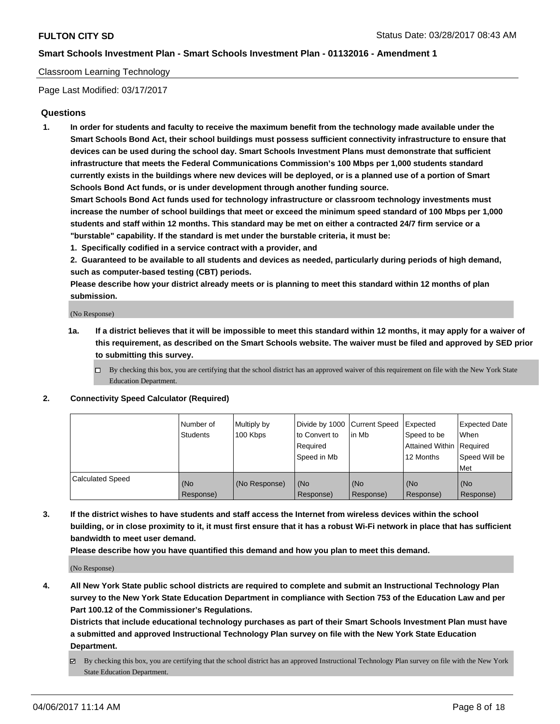### Classroom Learning Technology

Page Last Modified: 03/17/2017

## **Questions**

**1. In order for students and faculty to receive the maximum benefit from the technology made available under the Smart Schools Bond Act, their school buildings must possess sufficient connectivity infrastructure to ensure that devices can be used during the school day. Smart Schools Investment Plans must demonstrate that sufficient infrastructure that meets the Federal Communications Commission's 100 Mbps per 1,000 students standard currently exists in the buildings where new devices will be deployed, or is a planned use of a portion of Smart Schools Bond Act funds, or is under development through another funding source.**

**Smart Schools Bond Act funds used for technology infrastructure or classroom technology investments must increase the number of school buildings that meet or exceed the minimum speed standard of 100 Mbps per 1,000 students and staff within 12 months. This standard may be met on either a contracted 24/7 firm service or a "burstable" capability. If the standard is met under the burstable criteria, it must be:**

- **1. Specifically codified in a service contract with a provider, and**
- **2. Guaranteed to be available to all students and devices as needed, particularly during periods of high demand, such as computer-based testing (CBT) periods.**

**Please describe how your district already meets or is planning to meet this standard within 12 months of plan submission.**

(No Response)

- **1a. If a district believes that it will be impossible to meet this standard within 12 months, it may apply for a waiver of this requirement, as described on the Smart Schools website. The waiver must be filed and approved by SED prior to submitting this survey.**
	- $\Box$  By checking this box, you are certifying that the school district has an approved waiver of this requirement on file with the New York State Education Department.

#### **2. Connectivity Speed Calculator (Required)**

|                         | l Number of<br>Students | Multiply by<br>100 Kbps | Divide by 1000   Current Speed<br>to Convert to<br>Required<br>Speed in Mb | lin Mb           | Expected<br>Speed to be<br>Attained Within Required<br>12 Months | <b>Expected Date</b><br>When<br>Speed Will be<br>Met |
|-------------------------|-------------------------|-------------------------|----------------------------------------------------------------------------|------------------|------------------------------------------------------------------|------------------------------------------------------|
| <b>Calculated Speed</b> | (No<br>Response)        | (No Response)           | (No<br>Response)                                                           | (No<br>Response) | (No<br>Response)                                                 | (No<br>Response)                                     |

**3. If the district wishes to have students and staff access the Internet from wireless devices within the school building, or in close proximity to it, it must first ensure that it has a robust Wi-Fi network in place that has sufficient bandwidth to meet user demand.**

**Please describe how you have quantified this demand and how you plan to meet this demand.**

(No Response)

**4. All New York State public school districts are required to complete and submit an Instructional Technology Plan survey to the New York State Education Department in compliance with Section 753 of the Education Law and per Part 100.12 of the Commissioner's Regulations.**

**Districts that include educational technology purchases as part of their Smart Schools Investment Plan must have a submitted and approved Instructional Technology Plan survey on file with the New York State Education Department.**

 $\boxtimes$  By checking this box, you are certifying that the school district has an approved Instructional Technology Plan survey on file with the New York State Education Department.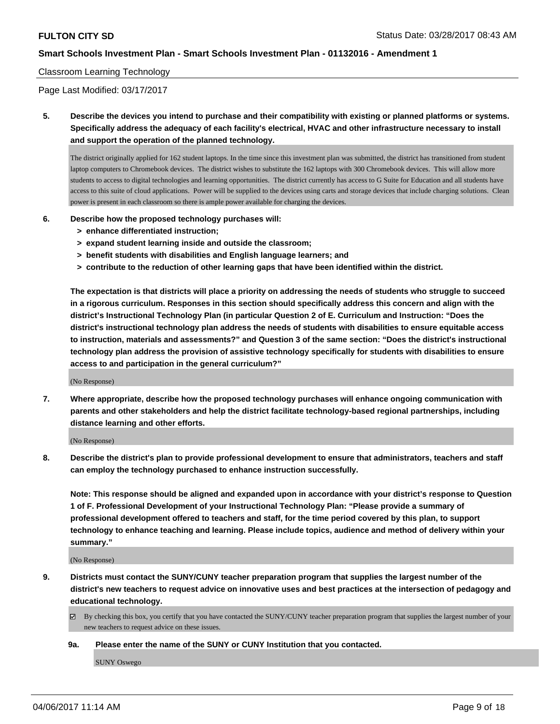## Classroom Learning Technology

Page Last Modified: 03/17/2017

**5. Describe the devices you intend to purchase and their compatibility with existing or planned platforms or systems. Specifically address the adequacy of each facility's electrical, HVAC and other infrastructure necessary to install and support the operation of the planned technology.**

The district originally applied for 162 student laptops. In the time since this investment plan was submitted, the district has transitioned from student laptop computers to Chromebook devices. The district wishes to substitute the 162 laptops with 300 Chromebook devices. This will allow more students to access to digital technologies and learning opportunities. The district currently has access to G Suite for Education and all students have access to this suite of cloud applications. Power will be supplied to the devices using carts and storage devices that include charging solutions. Clean power is present in each classroom so there is ample power available for charging the devices.

- **6. Describe how the proposed technology purchases will:**
	- **> enhance differentiated instruction;**
	- **> expand student learning inside and outside the classroom;**
	- **> benefit students with disabilities and English language learners; and**
	- **> contribute to the reduction of other learning gaps that have been identified within the district.**

**The expectation is that districts will place a priority on addressing the needs of students who struggle to succeed in a rigorous curriculum. Responses in this section should specifically address this concern and align with the district's Instructional Technology Plan (in particular Question 2 of E. Curriculum and Instruction: "Does the district's instructional technology plan address the needs of students with disabilities to ensure equitable access to instruction, materials and assessments?" and Question 3 of the same section: "Does the district's instructional technology plan address the provision of assistive technology specifically for students with disabilities to ensure access to and participation in the general curriculum?"**

(No Response)

**7. Where appropriate, describe how the proposed technology purchases will enhance ongoing communication with parents and other stakeholders and help the district facilitate technology-based regional partnerships, including distance learning and other efforts.**

(No Response)

**8. Describe the district's plan to provide professional development to ensure that administrators, teachers and staff can employ the technology purchased to enhance instruction successfully.**

**Note: This response should be aligned and expanded upon in accordance with your district's response to Question 1 of F. Professional Development of your Instructional Technology Plan: "Please provide a summary of professional development offered to teachers and staff, for the time period covered by this plan, to support technology to enhance teaching and learning. Please include topics, audience and method of delivery within your summary."**

(No Response)

- **9. Districts must contact the SUNY/CUNY teacher preparation program that supplies the largest number of the district's new teachers to request advice on innovative uses and best practices at the intersection of pedagogy and educational technology.**
	- By checking this box, you certify that you have contacted the SUNY/CUNY teacher preparation program that supplies the largest number of your new teachers to request advice on these issues.
	- **9a. Please enter the name of the SUNY or CUNY Institution that you contacted.**

SUNY Oswego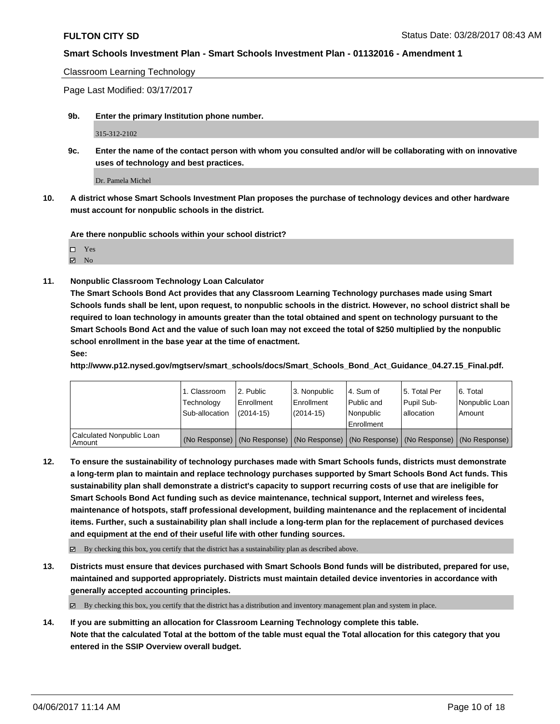Classroom Learning Technology

Page Last Modified: 03/17/2017

**9b. Enter the primary Institution phone number.**

315-312-2102

**9c. Enter the name of the contact person with whom you consulted and/or will be collaborating with on innovative uses of technology and best practices.**

Dr. Pamela Michel

**10. A district whose Smart Schools Investment Plan proposes the purchase of technology devices and other hardware must account for nonpublic schools in the district.**

**Are there nonpublic schools within your school district?**

Yes

 $\boxtimes$  No

**11. Nonpublic Classroom Technology Loan Calculator**

**The Smart Schools Bond Act provides that any Classroom Learning Technology purchases made using Smart Schools funds shall be lent, upon request, to nonpublic schools in the district. However, no school district shall be required to loan technology in amounts greater than the total obtained and spent on technology pursuant to the Smart Schools Bond Act and the value of such loan may not exceed the total of \$250 multiplied by the nonpublic school enrollment in the base year at the time of enactment.**

**See:**

**http://www.p12.nysed.gov/mgtserv/smart\_schools/docs/Smart\_Schools\_Bond\_Act\_Guidance\_04.27.15\_Final.pdf.**

|                                       | 1. Classroom<br>Technology<br>Sub-allocation | 12. Public<br>l Enrollment<br>$(2014-15)$ | l 3. Nonpublic<br>l Enrollment<br>(2014-15) | l 4. Sum of<br>Public and<br>Nonpublic<br>Enrollment | 15. Total Per<br>Pupil Sub-<br>lallocation | 6. Total<br>Nonpublic Loan  <br>Amount                                                        |
|---------------------------------------|----------------------------------------------|-------------------------------------------|---------------------------------------------|------------------------------------------------------|--------------------------------------------|-----------------------------------------------------------------------------------------------|
| Calculated Nonpublic Loan<br>l Amount |                                              |                                           |                                             |                                                      |                                            | (No Response)   (No Response)   (No Response)   (No Response)   (No Response)   (No Response) |

**12. To ensure the sustainability of technology purchases made with Smart Schools funds, districts must demonstrate a long-term plan to maintain and replace technology purchases supported by Smart Schools Bond Act funds. This sustainability plan shall demonstrate a district's capacity to support recurring costs of use that are ineligible for Smart Schools Bond Act funding such as device maintenance, technical support, Internet and wireless fees, maintenance of hotspots, staff professional development, building maintenance and the replacement of incidental items. Further, such a sustainability plan shall include a long-term plan for the replacement of purchased devices and equipment at the end of their useful life with other funding sources.**

 $\boxtimes$  By checking this box, you certify that the district has a sustainability plan as described above.

**13. Districts must ensure that devices purchased with Smart Schools Bond funds will be distributed, prepared for use, maintained and supported appropriately. Districts must maintain detailed device inventories in accordance with generally accepted accounting principles.**

 $\boxtimes$  By checking this box, you certify that the district has a distribution and inventory management plan and system in place.

**14. If you are submitting an allocation for Classroom Learning Technology complete this table. Note that the calculated Total at the bottom of the table must equal the Total allocation for this category that you entered in the SSIP Overview overall budget.**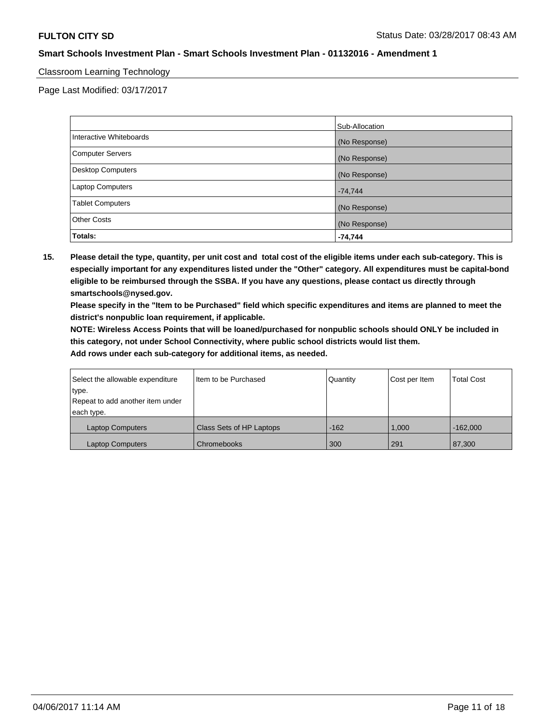## Classroom Learning Technology

Page Last Modified: 03/17/2017

|                         | Sub-Allocation |
|-------------------------|----------------|
| Interactive Whiteboards | (No Response)  |
| Computer Servers        | (No Response)  |
| Desktop Computers       | (No Response)  |
| Laptop Computers        | $-74,744$      |
| <b>Tablet Computers</b> | (No Response)  |
| <b>Other Costs</b>      | (No Response)  |
| Totals:                 | $-74,744$      |

**15. Please detail the type, quantity, per unit cost and total cost of the eligible items under each sub-category. This is especially important for any expenditures listed under the "Other" category. All expenditures must be capital-bond eligible to be reimbursed through the SSBA. If you have any questions, please contact us directly through smartschools@nysed.gov.**

**Please specify in the "Item to be Purchased" field which specific expenditures and items are planned to meet the district's nonpublic loan requirement, if applicable.**

**NOTE: Wireless Access Points that will be loaned/purchased for nonpublic schools should ONLY be included in this category, not under School Connectivity, where public school districts would list them.**

| Select the allowable expenditure | Item to be Purchased     | Quantity | Cost per Item | <b>Total Cost</b> |
|----------------------------------|--------------------------|----------|---------------|-------------------|
| type.                            |                          |          |               |                   |
| Repeat to add another item under |                          |          |               |                   |
| each type.                       |                          |          |               |                   |
| <b>Laptop Computers</b>          | Class Sets of HP Laptops | $-162$   | 1.000         | $-162.000$        |
| <b>Laptop Computers</b>          | Chromebooks              | 300      | 291           | 87,300            |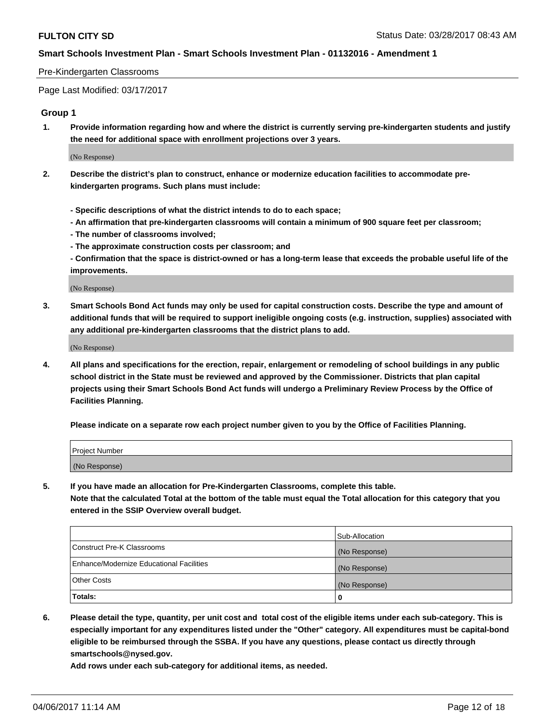### Pre-Kindergarten Classrooms

Page Last Modified: 03/17/2017

## **Group 1**

**1. Provide information regarding how and where the district is currently serving pre-kindergarten students and justify the need for additional space with enrollment projections over 3 years.**

(No Response)

- **2. Describe the district's plan to construct, enhance or modernize education facilities to accommodate prekindergarten programs. Such plans must include:**
	- **Specific descriptions of what the district intends to do to each space;**
	- **An affirmation that pre-kindergarten classrooms will contain a minimum of 900 square feet per classroom;**
	- **The number of classrooms involved;**
	- **The approximate construction costs per classroom; and**
	- **Confirmation that the space is district-owned or has a long-term lease that exceeds the probable useful life of the improvements.**

(No Response)

**3. Smart Schools Bond Act funds may only be used for capital construction costs. Describe the type and amount of additional funds that will be required to support ineligible ongoing costs (e.g. instruction, supplies) associated with any additional pre-kindergarten classrooms that the district plans to add.**

(No Response)

**4. All plans and specifications for the erection, repair, enlargement or remodeling of school buildings in any public school district in the State must be reviewed and approved by the Commissioner. Districts that plan capital projects using their Smart Schools Bond Act funds will undergo a Preliminary Review Process by the Office of Facilities Planning.**

**Please indicate on a separate row each project number given to you by the Office of Facilities Planning.**

| Project Number |  |
|----------------|--|
| (No Response)  |  |

**5. If you have made an allocation for Pre-Kindergarten Classrooms, complete this table. Note that the calculated Total at the bottom of the table must equal the Total allocation for this category that you entered in the SSIP Overview overall budget.**

| Totals:                                  | 0              |
|------------------------------------------|----------------|
| Other Costs                              | (No Response)  |
| Enhance/Modernize Educational Facilities | (No Response)  |
| Construct Pre-K Classrooms               | (No Response)  |
|                                          | Sub-Allocation |

**6. Please detail the type, quantity, per unit cost and total cost of the eligible items under each sub-category. This is especially important for any expenditures listed under the "Other" category. All expenditures must be capital-bond eligible to be reimbursed through the SSBA. If you have any questions, please contact us directly through smartschools@nysed.gov.**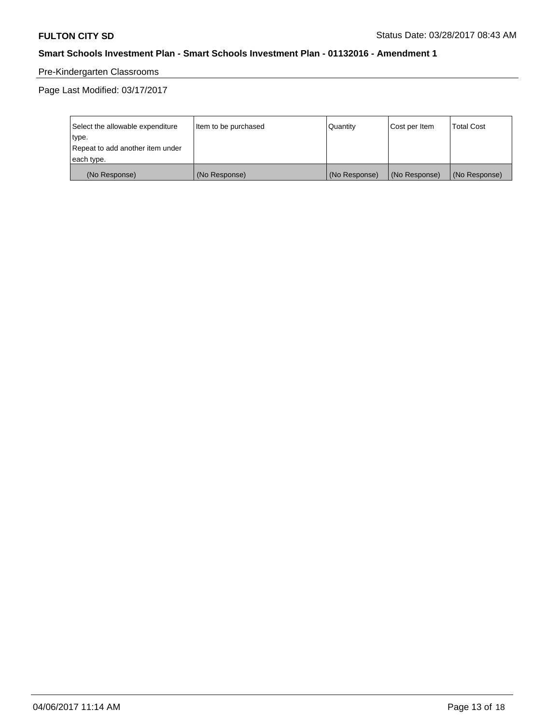# Pre-Kindergarten Classrooms

| Select the allowable expenditure | Item to be purchased | Quantity      | Cost per Item | <b>Total Cost</b> |
|----------------------------------|----------------------|---------------|---------------|-------------------|
| type.                            |                      |               |               |                   |
| Repeat to add another item under |                      |               |               |                   |
| each type.                       |                      |               |               |                   |
| (No Response)                    | (No Response)        | (No Response) | (No Response) | (No Response)     |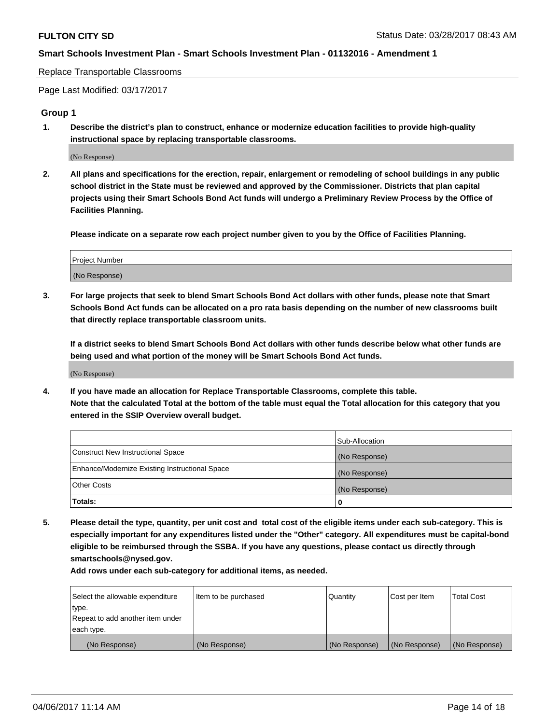Replace Transportable Classrooms

Page Last Modified: 03/17/2017

#### **Group 1**

**1. Describe the district's plan to construct, enhance or modernize education facilities to provide high-quality instructional space by replacing transportable classrooms.**

(No Response)

**2. All plans and specifications for the erection, repair, enlargement or remodeling of school buildings in any public school district in the State must be reviewed and approved by the Commissioner. Districts that plan capital projects using their Smart Schools Bond Act funds will undergo a Preliminary Review Process by the Office of Facilities Planning.**

**Please indicate on a separate row each project number given to you by the Office of Facilities Planning.**

| Project Number |  |
|----------------|--|
| (No Response)  |  |

**3. For large projects that seek to blend Smart Schools Bond Act dollars with other funds, please note that Smart Schools Bond Act funds can be allocated on a pro rata basis depending on the number of new classrooms built that directly replace transportable classroom units.**

**If a district seeks to blend Smart Schools Bond Act dollars with other funds describe below what other funds are being used and what portion of the money will be Smart Schools Bond Act funds.**

(No Response)

**4. If you have made an allocation for Replace Transportable Classrooms, complete this table. Note that the calculated Total at the bottom of the table must equal the Total allocation for this category that you entered in the SSIP Overview overall budget.**

|                                                | Sub-Allocation |
|------------------------------------------------|----------------|
| Construct New Instructional Space              | (No Response)  |
| Enhance/Modernize Existing Instructional Space | (No Response)  |
| Other Costs                                    | (No Response)  |
| Totals:                                        | $\Omega$       |

**5. Please detail the type, quantity, per unit cost and total cost of the eligible items under each sub-category. This is especially important for any expenditures listed under the "Other" category. All expenditures must be capital-bond eligible to be reimbursed through the SSBA. If you have any questions, please contact us directly through smartschools@nysed.gov.**

| Select the allowable expenditure | Item to be purchased | Quantity      | Cost per Item | <b>Total Cost</b> |
|----------------------------------|----------------------|---------------|---------------|-------------------|
| type.                            |                      |               |               |                   |
| Repeat to add another item under |                      |               |               |                   |
| each type.                       |                      |               |               |                   |
| (No Response)                    | (No Response)        | (No Response) | (No Response) | (No Response)     |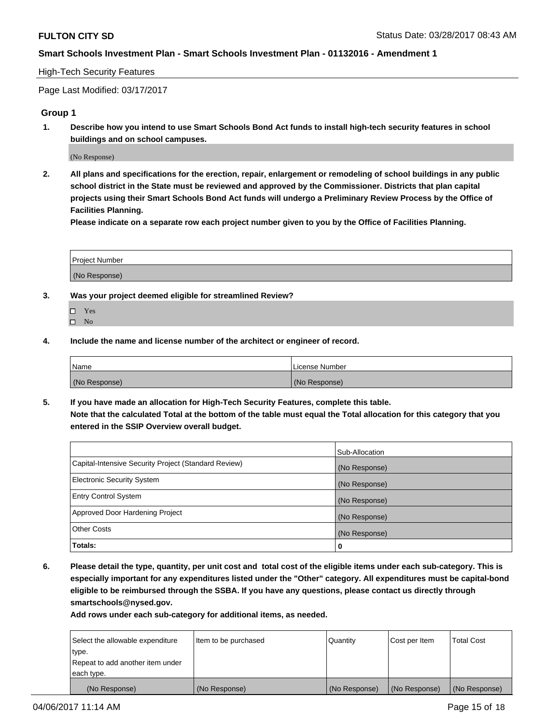## High-Tech Security Features

Page Last Modified: 03/17/2017

## **Group 1**

**1. Describe how you intend to use Smart Schools Bond Act funds to install high-tech security features in school buildings and on school campuses.**

(No Response)

**2. All plans and specifications for the erection, repair, enlargement or remodeling of school buildings in any public school district in the State must be reviewed and approved by the Commissioner. Districts that plan capital projects using their Smart Schools Bond Act funds will undergo a Preliminary Review Process by the Office of Facilities Planning.** 

**Please indicate on a separate row each project number given to you by the Office of Facilities Planning.**

| Project Number |  |
|----------------|--|
|                |  |
| (No Response)  |  |

- **3. Was your project deemed eligible for streamlined Review?**
	- Yes  $\hfill \square$  No
- **4. Include the name and license number of the architect or engineer of record.**

| Name          | l License Number |
|---------------|------------------|
| (No Response) | (No Response)    |

**5. If you have made an allocation for High-Tech Security Features, complete this table. Note that the calculated Total at the bottom of the table must equal the Total allocation for this category that you entered in the SSIP Overview overall budget.**

|                                                      | Sub-Allocation |
|------------------------------------------------------|----------------|
| Capital-Intensive Security Project (Standard Review) | (No Response)  |
| <b>Electronic Security System</b>                    | (No Response)  |
| <b>Entry Control System</b>                          | (No Response)  |
| Approved Door Hardening Project                      | (No Response)  |
| <b>Other Costs</b>                                   | (No Response)  |
| Totals:                                              | 0              |

**6. Please detail the type, quantity, per unit cost and total cost of the eligible items under each sub-category. This is especially important for any expenditures listed under the "Other" category. All expenditures must be capital-bond eligible to be reimbursed through the SSBA. If you have any questions, please contact us directly through smartschools@nysed.gov.**

| (No Response)                    | (No Response)        | (No Response) | (No Response) | (No Response)     |
|----------------------------------|----------------------|---------------|---------------|-------------------|
| each type.                       |                      |               |               |                   |
| Repeat to add another item under |                      |               |               |                   |
| type.                            |                      |               |               |                   |
| Select the allowable expenditure | Item to be purchased | Quantity      | Cost per Item | <b>Total Cost</b> |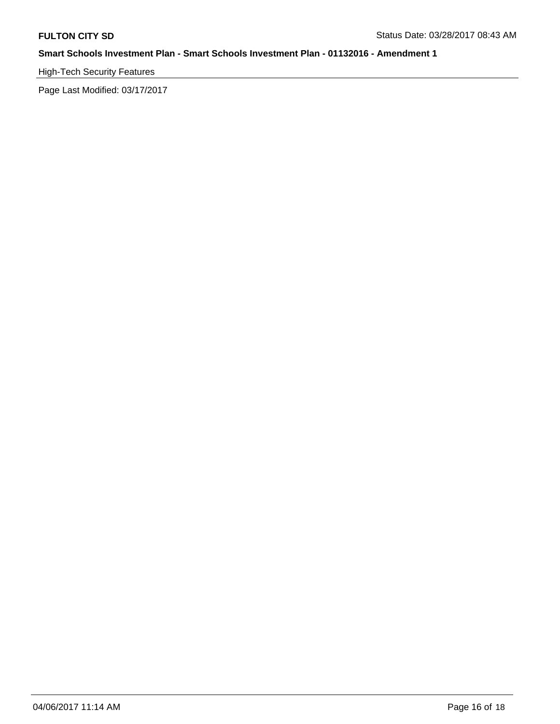# High-Tech Security Features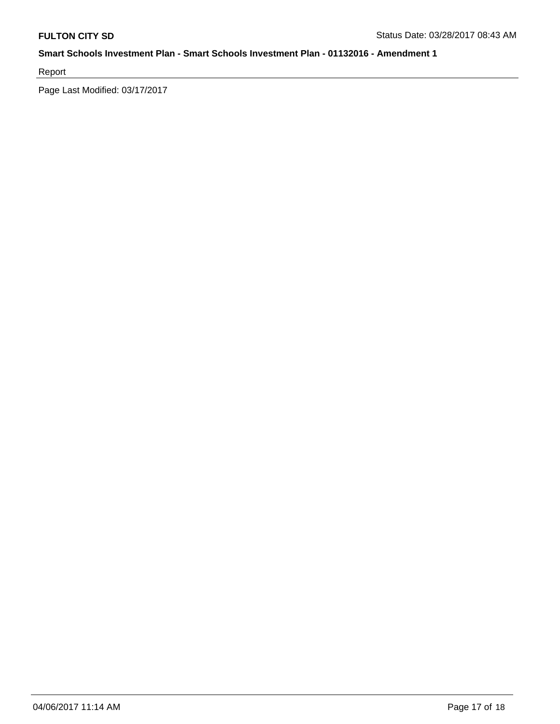Report